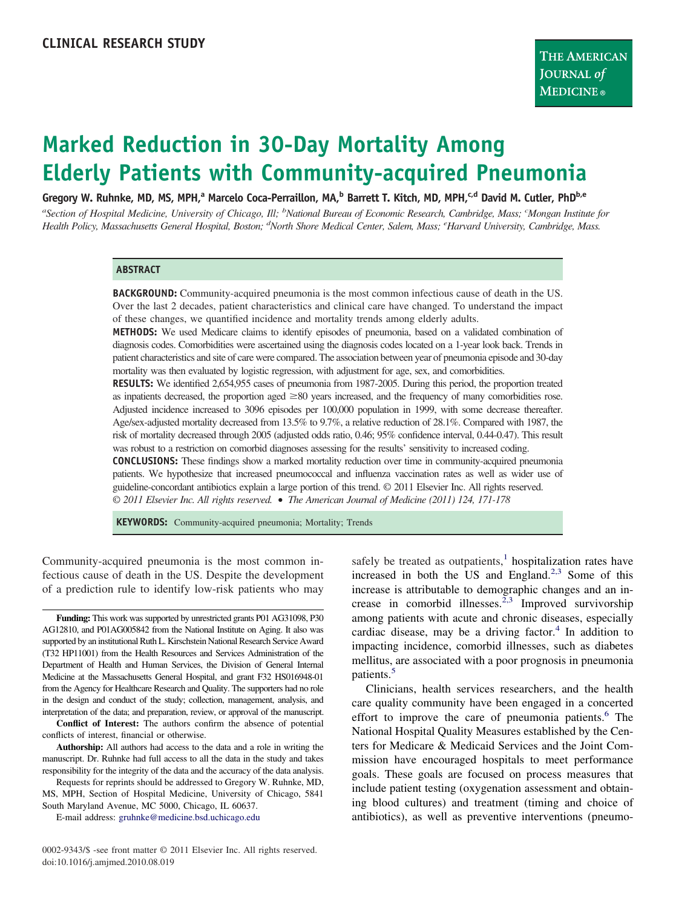# **Marked Reduction in 30-Day Mortality Among Elderly Patients with Community-acquired Pneumonia**

Gregory W. Ruhnke, MD, MS, MPH,<sup>a</sup> Marcelo Coca-Perraillon, MA,<sup>b</sup> Barrett T. Kitch, MD, MPH,<sup>c,d</sup> David M. Cutler, PhD<sup>b,e</sup>

*a Section of Hospital Medicine, University of Chicago, Ill; <sup>b</sup> National Bureau of Economic Research, Cambridge, Mass; <sup>c</sup> Mongan Institute for Health Policy, Massachusetts General Hospital, Boston; <sup>d</sup> North Shore Medical Center, Salem, Mass; <sup>e</sup> Harvard University, Cambridge, Mass.*

#### **ABSTRACT**

**BACKGROUND:** Community-acquired pneumonia is the most common infectious cause of death in the US. Over the last 2 decades, patient characteristics and clinical care have changed. To understand the impact of these changes, we quantified incidence and mortality trends among elderly adults.

**METHODS:** We used Medicare claims to identify episodes of pneumonia, based on a validated combination of diagnosis codes. Comorbidities were ascertained using the diagnosis codes located on a 1-year look back. Trends in patient characteristics and site of care were compared. The association between year of pneumonia episode and 30-day mortality was then evaluated by logistic regression, with adjustment for age, sex, and comorbidities.

**RESULTS:** We identified 2,654,955 cases of pneumonia from 1987-2005. During this period, the proportion treated as inpatients decreased, the proportion aged  $\geq 80$  years increased, and the frequency of many comorbidities rose. Adjusted incidence increased to 3096 episodes per 100,000 population in 1999, with some decrease thereafter. Age/sex-adjusted mortality decreased from 13.5% to 9.7%, a relative reduction of 28.1%. Compared with 1987, the risk of mortality decreased through 2005 (adjusted odds ratio, 0.46; 95% confidence interval, 0.44-0.47). This result was robust to a restriction on comorbid diagnoses assessing for the results' sensitivity to increased coding.

**CONCLUSIONS:** These findings show a marked mortality reduction over time in community-acquired pneumonia patients. We hypothesize that increased pneumococcal and influenza vaccination rates as well as wider use of guideline-concordant antibiotics explain a large portion of this trend. © 2011 Elsevier Inc. All rights reserved. *© 2011 Elsevier Inc. All rights reserved.* • *The American Journal of Medicine (2011) 124, 171-178*

**KEYWORDS:** Community-acquired pneumonia; Mortality; Trends

Community-acquired pneumonia is the most common infectious cause of death in the US. Despite the development of a prediction rule to identify low-risk patients who may

**Funding:** This work was supported by unrestricted grants P01 AG31098, P30 AG12810, and P01AG005842 from the National Institute on Aging. It also was supported by an institutional Ruth L. Kirschstein National Research Service Award (T32 HP11001) from the Health Resources and Services Administration of the Department of Health and Human Services, the Division of General Internal Medicine at the Massachusetts General Hospital, and grant F32 HS016948-01 from the Agency for Healthcare Research and Quality. The supporters had no role in the design and conduct of the study; collection, management, analysis, and interpretation of the data; and preparation, review, or approval of the manuscript.

**Conflict of Interest:** The authors confirm the absence of potential conflicts of interest, financial or otherwise.

**Authorship:** All authors had access to the data and a role in writing the manuscript. Dr. Ruhnke had full access to all the data in the study and takes responsibility for the integrity of the data and the accuracy of the data analysis.

Requests for reprints should be addressed to Gregory W. Ruhnke, MD, MS, MPH, Section of Hospital Medicine, University of Chicago, 5841 South Maryland Avenue, MC 5000, Chicago, IL 60637.

E-mail address: [gruhnke@medicine.bsd.uchicago.edu](mailto:gruhnke@medicine.bsd.uchicago.edu)

safely be treated as outpatients, $<sup>1</sup>$  $<sup>1</sup>$  $<sup>1</sup>$  hospitalization rates have</sup> increased in both the US and England.<sup>[2,3](#page-6-0)</sup> Some of this increase is attributable to demographic changes and an increase in comorbid illnesses.<sup> $2,3$ </sup> Improved survivorship among patients with acute and chronic diseases, especially cardiac disease, may be a driving factor. $4 \text{ In addition to }$  $4 \text{ In addition to }$ impacting incidence, comorbid illnesses, such as diabetes mellitus, are associated with a poor prognosis in pneumonia patients.[5](#page-6-0)

Clinicians, health services researchers, and the health care quality community have been engaged in a concerted effort to improve the care of pneumonia patients.<sup>6</sup> The National Hospital Quality Measures established by the Centers for Medicare & Medicaid Services and the Joint Commission have encouraged hospitals to meet performance goals. These goals are focused on process measures that include patient testing (oxygenation assessment and obtaining blood cultures) and treatment (timing and choice of antibiotics), as well as preventive interventions (pneumo-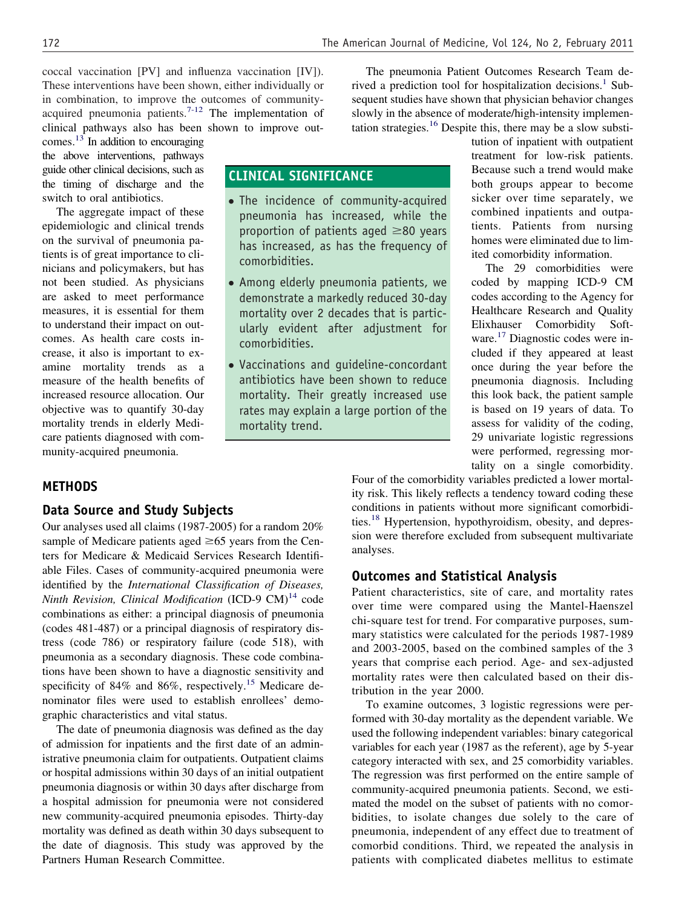coccal vaccination [PV] and influenza vaccination [IV]). These interventions have been shown, either individually or in combination, to improve the outcomes of communityacquired pneumonia patients. $7-12$  The implementation of clinical pathways also has been shown to improve out-

comes. $13$  In addition to encouraging the above interventions, pathways guide other clinical decisions, such as the timing of discharge and the switch to oral antibiotics.

The aggregate impact of these epidemiologic and clinical trends on the survival of pneumonia patients is of great importance to clinicians and policymakers, but has not been studied. As physicians are asked to meet performance measures, it is essential for them to understand their impact on outcomes. As health care costs increase, it also is important to examine mortality trends as a measure of the health benefits of increased resource allocation. Our objective was to quantify 30-day mortality trends in elderly Medicare patients diagnosed with community-acquired pneumonia.

The pneumonia Patient Outcomes Research Team derived a prediction tool for hospitalization decisions.<sup>1</sup> Subsequent studies have shown that physician behavior changes slowly in the absence of moderate/high-intensity implementation strategies. $16$  Despite this, there may be a slow substitution of inpatient with outpatient

> treatment for low-risk patients. Because such a trend would make both groups appear to become sicker over time separately, we combined inpatients and outpatients. Patients from nursing homes were eliminated due to limited comorbidity information. The 29 comorbidities were coded by mapping ICD-9 CM codes according to the Agency for Healthcare Research and Quality Elixhauser Comorbidity Software[.17](#page-6-0) Diagnostic codes were included if they appeared at least once during the year before the pneumonia diagnosis. Including this look back, the patient sample is based on 19 years of data. To assess for validity of the coding, 29 univariate logistic regressions were performed, regressing mor-

# **CLINICAL SIGNIFICANCE**

- The incidence of community-acquired pneumonia has increased, while the proportion of patients aged  $\geq$ 80 years has increased, as has the frequency of comorbidities.
- Among elderly pneumonia patients, we demonstrate a markedly reduced 30-day mortality over 2 decades that is particularly evident after adjustment for comorbidities.
- Vaccinations and guideline-concordant antibiotics have been shown to reduce mortality. Their greatly increased use rates may explain a large portion of the mortality trend.

## **METHODS**

#### **Data Source and Study Subjects**

Our analyses used all claims (1987-2005) for a random 20% sample of Medicare patients aged  $\geq 65$  years from the Centers for Medicare & Medicaid Services Research Identifiable Files. Cases of community-acquired pneumonia were identified by the *International Classification of Diseases, Ninth Revision, Clinical Modification* (ICD-9 CM)<sup>[14](#page-6-0)</sup> code combinations as either: a principal diagnosis of pneumonia (codes 481-487) or a principal diagnosis of respiratory distress (code 786) or respiratory failure (code 518), with pneumonia as a secondary diagnosis. These code combinations have been shown to have a diagnostic sensitivity and specificity of 84% and 86%, respectively.<sup>15</sup> Medicare denominator files were used to establish enrollees' demographic characteristics and vital status.

The date of pneumonia diagnosis was defined as the day of admission for inpatients and the first date of an administrative pneumonia claim for outpatients. Outpatient claims or hospital admissions within 30 days of an initial outpatient pneumonia diagnosis or within 30 days after discharge from a hospital admission for pneumonia were not considered new community-acquired pneumonia episodes. Thirty-day mortality was defined as death within 30 days subsequent to the date of diagnosis. This study was approved by the Partners Human Research Committee.

tality on a single comorbidity. Four of the comorbidity variables predicted a lower mortality risk. This likely reflects a tendency toward coding these conditions in patients without more significant comorbidities.[18](#page-6-0) Hypertension, hypothyroidism, obesity, and depression were therefore excluded from subsequent multivariate analyses.

## **Outcomes and Statistical Analysis**

Patient characteristics, site of care, and mortality rates over time were compared using the Mantel-Haenszel chi-square test for trend. For comparative purposes, summary statistics were calculated for the periods 1987-1989 and 2003-2005, based on the combined samples of the 3 years that comprise each period. Age- and sex-adjusted mortality rates were then calculated based on their distribution in the year 2000.

To examine outcomes, 3 logistic regressions were performed with 30-day mortality as the dependent variable. We used the following independent variables: binary categorical variables for each year (1987 as the referent), age by 5-year category interacted with sex, and 25 comorbidity variables. The regression was first performed on the entire sample of community-acquired pneumonia patients. Second, we estimated the model on the subset of patients with no comorbidities, to isolate changes due solely to the care of pneumonia, independent of any effect due to treatment of comorbid conditions. Third, we repeated the analysis in patients with complicated diabetes mellitus to estimate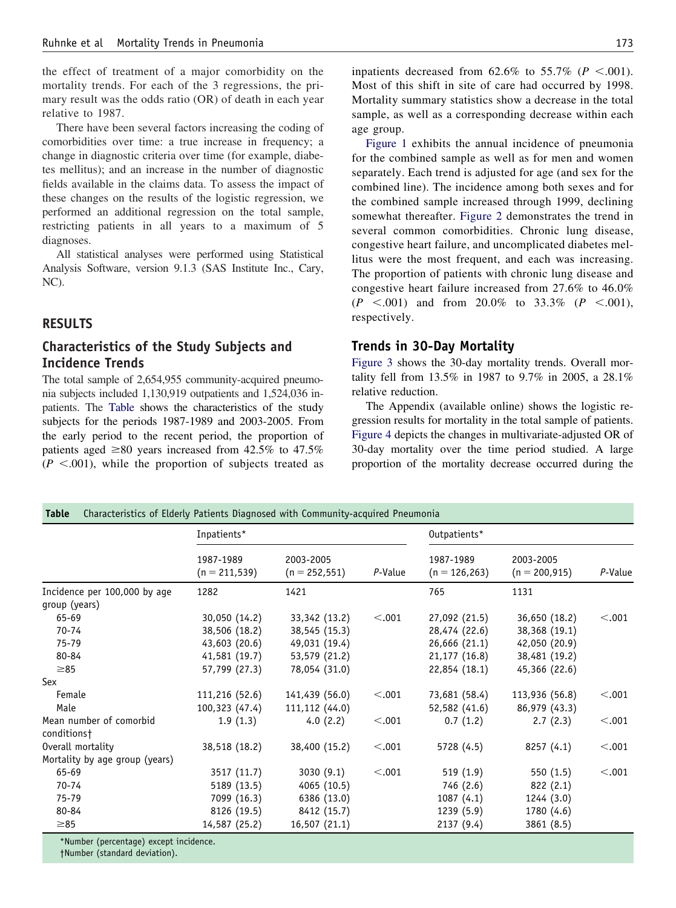the effect of treatment of a major comorbidity on the mortality trends. For each of the 3 regressions, the primary result was the odds ratio (OR) of death in each year relative to 1987.

There have been several factors increasing the coding of comorbidities over time: a true increase in frequency; a change in diagnostic criteria over time (for example, diabetes mellitus); and an increase in the number of diagnostic fields available in the claims data. To assess the impact of these changes on the results of the logistic regression, we performed an additional regression on the total sample, restricting patients in all years to a maximum of 5 diagnoses.

All statistical analyses were performed using Statistical Analysis Software, version 9.1.3 (SAS Institute Inc., Cary, NC).

## **RESULTS**

## **Characteristics of the Study Subjects and Incidence Trends**

The total sample of 2,654,955 community-acquired pneumonia subjects included 1,130,919 outpatients and 1,524,036 inpatients. The Table shows the characteristics of the study subjects for the periods 1987-1989 and 2003-2005. From the early period to the recent period, the proportion of patients aged  $\geq 80$  years increased from 42.5% to 47.5%  $(P \le 0.001)$ , while the proportion of subjects treated as

inpatients decreased from  $62.6\%$  to  $55.7\%$  ( $P < .001$ ). Most of this shift in site of care had occurred by 1998. Mortality summary statistics show a decrease in the total sample, as well as a corresponding decrease within each age group.

[Figure 1](#page-3-0) exhibits the annual incidence of pneumonia for the combined sample as well as for men and women separately. Each trend is adjusted for age (and sex for the combined line). The incidence among both sexes and for the combined sample increased through 1999, declining somewhat thereafter. [Figure 2](#page-3-0) demonstrates the trend in several common comorbidities. Chronic lung disease, congestive heart failure, and uncomplicated diabetes mellitus were the most frequent, and each was increasing. The proportion of patients with chronic lung disease and congestive heart failure increased from 27.6% to 46.0%  $(P \le 0.001)$  and from 20.0% to 33.3%  $(P \le 0.001)$ , respectively.

#### **Trends in 30-Day Mortality**

[Figure 3](#page-4-0) shows the 30-day mortality trends. Overall mortality fell from 13.5% in 1987 to 9.7% in 2005, a 28.1% relative reduction.

The Appendix (available online) shows the logistic regression results for mortality in the total sample of patients. [Figure 4](#page-4-0) depicts the changes in multivariate-adjusted OR of 30-day mortality over the time period studied. A large proportion of the mortality decrease occurred during the

|  |  |  |  |  | <b>Table</b> Characteristics of Elderly Patients Diagnosed with Community-acquired Pneumonia |  |
|--|--|--|--|--|----------------------------------------------------------------------------------------------|--|
|--|--|--|--|--|----------------------------------------------------------------------------------------------|--|

|                                        | Inpatients*                   |                               |         | Outpatients*                  |                               |         |
|----------------------------------------|-------------------------------|-------------------------------|---------|-------------------------------|-------------------------------|---------|
|                                        | 1987-1989<br>$(n = 211, 539)$ | 2003-2005<br>$(n = 252, 551)$ | P-Value | 1987-1989<br>$(n = 126, 263)$ | 2003-2005<br>$(n = 200, 915)$ | P-Value |
| Incidence per 100,000 by age           | 1282                          | 1421                          |         | 765                           | 1131                          |         |
| group (years)                          |                               |                               |         |                               |                               |         |
| 65-69                                  | 30,050 (14.2)                 | 33,342 (13.2)                 | < .001  | 27,092 (21.5)                 | 36,650 (18.2)                 | < .001  |
| 70-74                                  | 38,506 (18.2)                 | 38,545 (15.3)                 |         | 28,474 (22.6)                 | 38,368 (19.1)                 |         |
| 75-79                                  | 43,603 (20.6)                 | 49,031 (19.4)                 |         | 26,666 (21.1)                 | 42,050 (20.9)                 |         |
| 80-84                                  | 41,581 (19.7)                 | 53,579 (21.2)                 |         | 21,177 (16.8)                 | 38,481 (19.2)                 |         |
| $\geq 85$                              | 57,799 (27.3)                 | 78,054 (31.0)                 |         | 22,854 (18.1)                 | 45,366 (22.6)                 |         |
| Sex                                    |                               |                               |         |                               |                               |         |
| Female                                 | 111,216 (52.6)                | 141,439 (56.0)                | < .001  | 73,681 (58.4)                 | 113,936 (56.8)                | < .001  |
| Male                                   | 100,323 (47.4)                | 111,112 (44.0)                |         | 52,582 (41.6)                 | 86,979 (43.3)                 |         |
| Mean number of comorbid<br>conditions† | 1.9(1.3)                      | 4.0(2.2)                      | < .001  | 0.7(1.2)                      | 2.7(2.3)                      | < .001  |
| Overall mortality                      | 38,518 (18.2)                 | 38,400 (15.2)                 | < .001  | 5728 (4.5)                    | 8257(4.1)                     | < .001  |
| Mortality by age group (years)         |                               |                               |         |                               |                               |         |
| 65-69                                  | 3517 (11.7)                   | 3030(9.1)                     | < .001  | 519(1.9)                      | 550(1.5)                      | < .001  |
| $70 - 74$                              | 5189 (13.5)                   | 4065 (10.5)                   |         | 746 (2.6)                     | 822(2.1)                      |         |
| 75-79                                  | 7099 (16.3)                   | 6386 (13.0)                   |         | 1087(4.1)                     | 1244 (3.0)                    |         |
| 80-84                                  | 8126 (19.5)                   | 8412 (15.7)                   |         | 1239(5.9)                     | 1780 (4.6)                    |         |
| $\geq 85$                              | 14,587 (25.2)                 | 16,507 (21.1)                 |         | 2137 (9.4)                    | 3861 (8.5)                    |         |

Number (percentage) except incidence.

†Number (standard deviation).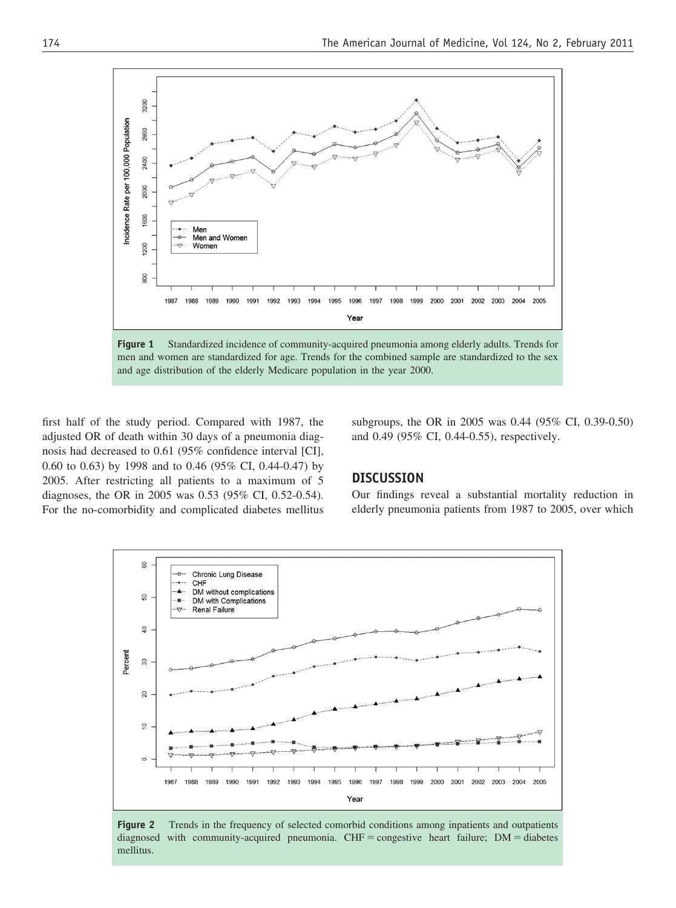<span id="page-3-0"></span>

**Figure 1** Standardized incidence of community-acquired pneumonia among elderly adults. Trends for men and women are standardized for age. Trends for the combined sample are standardized to the sex and age distribution of the elderly Medicare population in the year 2000.

first half of the study period. Compared with 1987, the adjusted OR of death within 30 days of a pneumonia diagnosis had decreased to 0.61 (95% confidence interval [CI], 0.60 to 0.63) by 1998 and to 0.46 (95% CI, 0.44-0.47) by 2005. After restricting all patients to a maximum of 5 diagnoses, the OR in 2005 was 0.53 (95% CI, 0.52-0.54). For the no-comorbidity and complicated diabetes mellitus subgroups, the OR in 2005 was 0.44 (95% CI, 0.39-0.50) and 0.49 (95% CI, 0.44-0.55), respectively.

## **DISCUSSION**

Our findings reveal a substantial mortality reduction in elderly pneumonia patients from 1987 to 2005, over which



**Figure 2** Trends in the frequency of selected comorbid conditions among inpatients and outpatients diagnosed with community-acquired pneumonia.  $CHF = \text{congestive heart failure}; \text{ DM} = \text{diabetes}$ mellitus.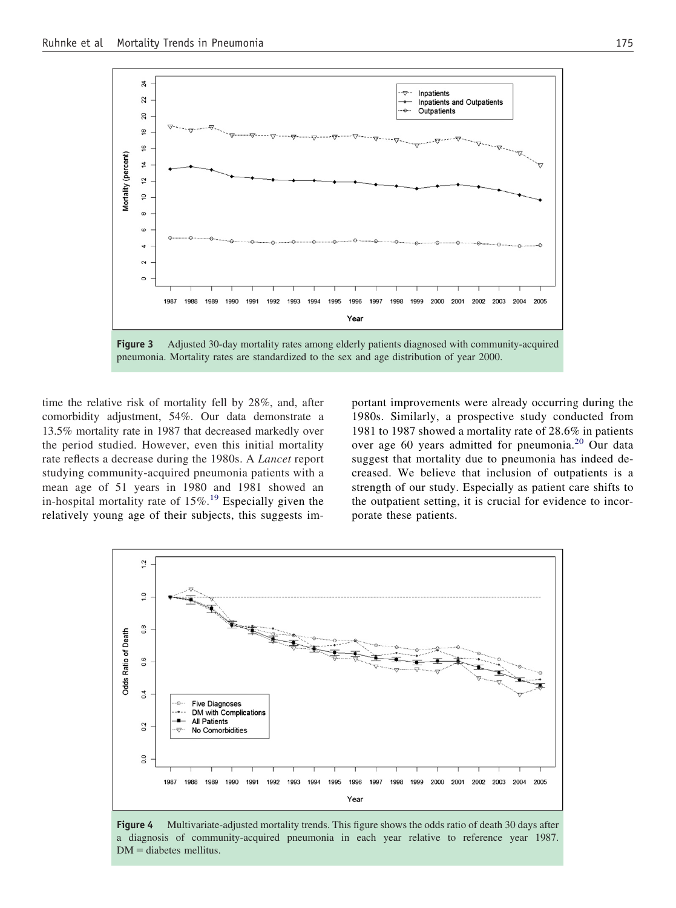<span id="page-4-0"></span>

**Figure 3** Adjusted 30-day mortality rates among elderly patients diagnosed with community-acquired pneumonia. Mortality rates are standardized to the sex and age distribution of year 2000.

time the relative risk of mortality fell by 28%, and, after comorbidity adjustment, 54%. Our data demonstrate a 13.5% mortality rate in 1987 that decreased markedly over the period studied. However, even this initial mortality rate reflects a decrease during the 1980s. A *Lancet* report studying community-acquired pneumonia patients with a mean age of 51 years in 1980 and 1981 showed an in-hospital mortality rate of  $15\%$ .<sup>[19](#page-6-0)</sup> Especially given the relatively young age of their subjects, this suggests important improvements were already occurring during the 1980s. Similarly, a prospective study conducted from 1981 to 1987 showed a mortality rate of 28.6% in patients over age 60 years admitted for pneumonia.[20](#page-6-0) Our data suggest that mortality due to pneumonia has indeed decreased. We believe that inclusion of outpatients is a strength of our study. Especially as patient care shifts to the outpatient setting, it is crucial for evidence to incorporate these patients.



**Figure 4** Multivariate-adjusted mortality trends. This figure shows the odds ratio of death 30 days after a diagnosis of community-acquired pneumonia in each year relative to reference year 1987.  $DM =$  diabetes mellitus.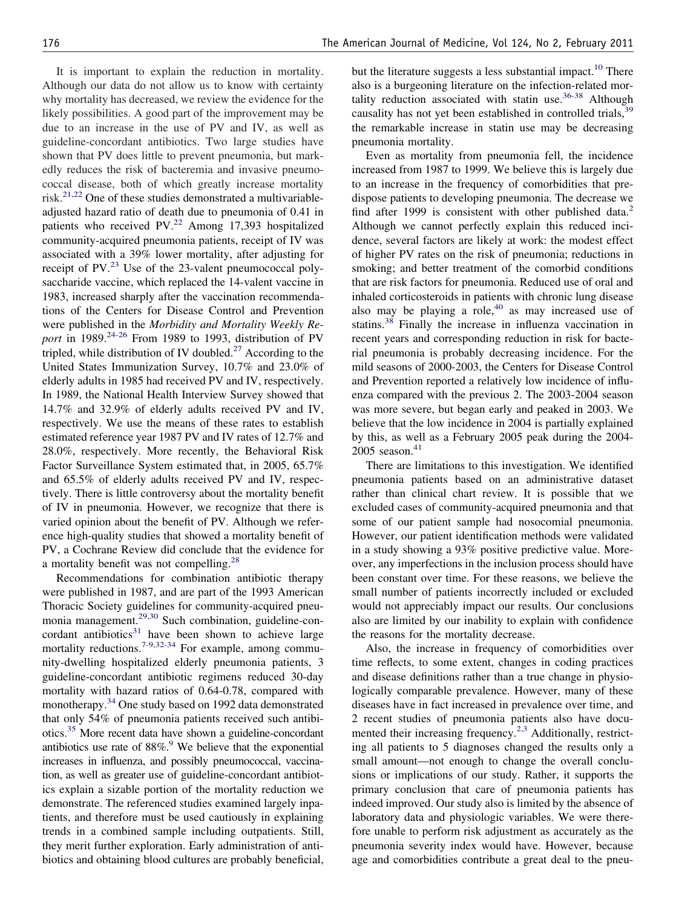It is important to explain the reduction in mortality. Although our data do not allow us to know with certainty why mortality has decreased, we review the evidence for the likely possibilities. A good part of the improvement may be due to an increase in the use of PV and IV, as well as guideline-concordant antibiotics. Two large studies have shown that PV does little to prevent pneumonia, but markedly reduces the risk of bacteremia and invasive pneumococcal disease, both of which greatly increase mortality risk. $2^{1,22}$  One of these studies demonstrated a multivariableadjusted hazard ratio of death due to pneumonia of 0.41 in patients who received  $PV<sup>22</sup>$  $PV<sup>22</sup>$  $PV<sup>22</sup>$  Among 17,393 hospitalized community-acquired pneumonia patients, receipt of IV was associated with a 39% lower mortality, after adjusting for receipt of PV. $^{23}$  Use of the 23-valent pneumococcal polysaccharide vaccine, which replaced the 14-valent vaccine in 1983, increased sharply after the vaccination recommendations of the Centers for Disease Control and Prevention were published in the *Morbidity and Mortality Weekly Report* in 1989.<sup>[24-26](#page-6-0)</sup> From 1989 to 1993, distribution of PV tripled, while distribution of IV doubled. $^{27}$  $^{27}$  $^{27}$  According to the United States Immunization Survey, 10.7% and 23.0% of elderly adults in 1985 had received PV and IV, respectively. In 1989, the National Health Interview Survey showed that 14.7% and 32.9% of elderly adults received PV and IV, respectively. We use the means of these rates to establish estimated reference year 1987 PV and IV rates of 12.7% and 28.0%, respectively. More recently, the Behavioral Risk Factor Surveillance System estimated that, in 2005, 65.7% and 65.5% of elderly adults received PV and IV, respectively. There is little controversy about the mortality benefit of IV in pneumonia. However, we recognize that there is varied opinion about the benefit of PV. Although we reference high-quality studies that showed a mortality benefit of PV, a Cochrane Review did conclude that the evidence for a mortality benefit was not compelling.[28](#page-6-0)

Recommendations for combination antibiotic therapy were published in 1987, and are part of the 1993 American Thoracic Society guidelines for community-acquired pneumonia management.[29,30](#page-6-0) Such combination, guideline-concordant antibiotics $31$  have been shown to achieve large mortality reductions.<sup>[7-9,32-34](#page-6-0)</sup> For example, among community-dwelling hospitalized elderly pneumonia patients, 3 guideline-concordant antibiotic regimens reduced 30-day mortality with hazard ratios of 0.64-0.78, compared with monotherapy.<sup>[34](#page-7-0)</sup> One study based on 1992 data demonstrated that only 54% of pneumonia patients received such antibiotics[.35](#page-7-0) More recent data have shown a guideline-concordant antibiotics use rate of  $88\%$ .<sup>9</sup> We believe that the exponential increases in influenza, and possibly pneumococcal, vaccination, as well as greater use of guideline-concordant antibiotics explain a sizable portion of the mortality reduction we demonstrate. The referenced studies examined largely inpatients, and therefore must be used cautiously in explaining trends in a combined sample including outpatients. Still, they merit further exploration. Early administration of antibiotics and obtaining blood cultures are probably beneficial, but the literature suggests a less substantial impact.<sup>10</sup> There also is a burgeoning literature on the infection-related mortality reduction associated with statin use. $36-38$  Although causality has not yet been established in controlled trials,<sup>[39](#page-7-0)</sup> the remarkable increase in statin use may be decreasing pneumonia mortality.

Even as mortality from pneumonia fell, the incidence increased from 1987 to 1999. We believe this is largely due to an increase in the frequency of comorbidities that predispose patients to developing pneumonia. The decrease we find after 1999 is consistent with other published data.<sup>2</sup> Although we cannot perfectly explain this reduced incidence, several factors are likely at work: the modest effect of higher PV rates on the risk of pneumonia; reductions in smoking; and better treatment of the comorbid conditions that are risk factors for pneumonia. Reduced use of oral and inhaled corticosteroids in patients with chronic lung disease also may be playing a role, $40$  as may increased use of statins.[38](#page-7-0) Finally the increase in influenza vaccination in recent years and corresponding reduction in risk for bacterial pneumonia is probably decreasing incidence. For the mild seasons of 2000-2003, the Centers for Disease Control and Prevention reported a relatively low incidence of influenza compared with the previous 2. The 2003-2004 season was more severe, but began early and peaked in 2003. We believe that the low incidence in 2004 is partially explained by this, as well as a February 2005 peak during the 2004-  $2005$  season.<sup>41</sup>

There are limitations to this investigation. We identified pneumonia patients based on an administrative dataset rather than clinical chart review. It is possible that we excluded cases of community-acquired pneumonia and that some of our patient sample had nosocomial pneumonia. However, our patient identification methods were validated in a study showing a 93% positive predictive value. Moreover, any imperfections in the inclusion process should have been constant over time. For these reasons, we believe the small number of patients incorrectly included or excluded would not appreciably impact our results. Our conclusions also are limited by our inability to explain with confidence the reasons for the mortality decrease.

Also, the increase in frequency of comorbidities over time reflects, to some extent, changes in coding practices and disease definitions rather than a true change in physiologically comparable prevalence. However, many of these diseases have in fact increased in prevalence over time, and 2 recent studies of pneumonia patients also have documented their increasing frequency.<sup>2,3</sup> Additionally, restricting all patients to 5 diagnoses changed the results only a small amount—not enough to change the overall conclusions or implications of our study. Rather, it supports the primary conclusion that care of pneumonia patients has indeed improved. Our study also is limited by the absence of laboratory data and physiologic variables. We were therefore unable to perform risk adjustment as accurately as the pneumonia severity index would have. However, because age and comorbidities contribute a great deal to the pneu-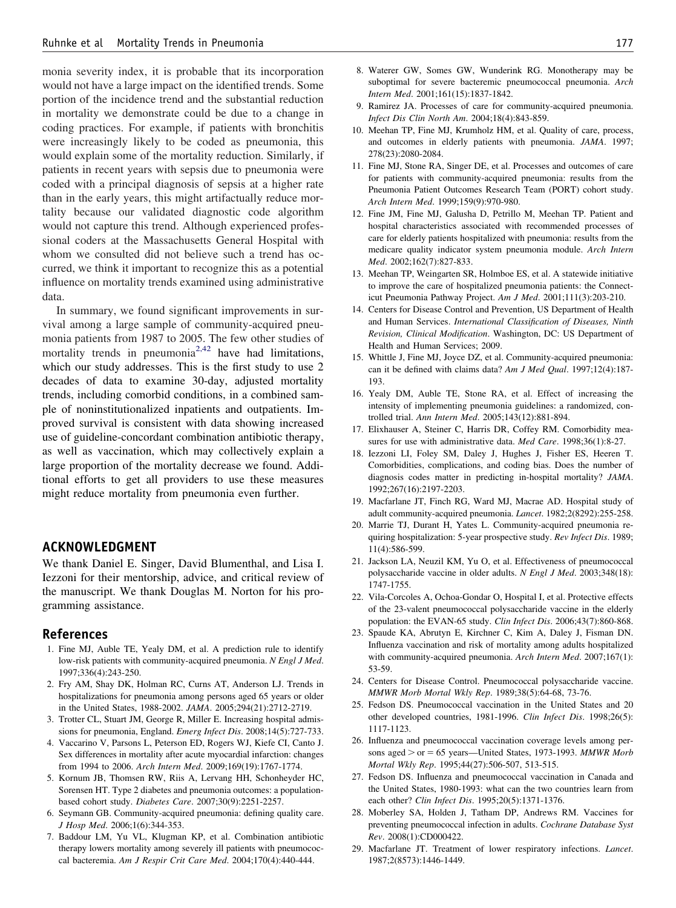<span id="page-6-0"></span>monia severity index, it is probable that its incorporation would not have a large impact on the identified trends. Some portion of the incidence trend and the substantial reduction in mortality we demonstrate could be due to a change in coding practices. For example, if patients with bronchitis were increasingly likely to be coded as pneumonia, this would explain some of the mortality reduction. Similarly, if patients in recent years with sepsis due to pneumonia were coded with a principal diagnosis of sepsis at a higher rate than in the early years, this might artifactually reduce mortality because our validated diagnostic code algorithm would not capture this trend. Although experienced professional coders at the Massachusetts General Hospital with whom we consulted did not believe such a trend has occurred, we think it important to recognize this as a potential influence on mortality trends examined using administrative data.

In summary, we found significant improvements in survival among a large sample of community-acquired pneumonia patients from 1987 to 2005. The few other studies of mortality trends in pneumonia<sup>2,42</sup> have had limitations, which our study addresses. This is the first study to use 2 decades of data to examine 30-day, adjusted mortality trends, including comorbid conditions, in a combined sample of noninstitutionalized inpatients and outpatients. Improved survival is consistent with data showing increased use of guideline-concordant combination antibiotic therapy, as well as vaccination, which may collectively explain a large proportion of the mortality decrease we found. Additional efforts to get all providers to use these measures might reduce mortality from pneumonia even further.

## **ACKNOWLEDGMENT**

We thank Daniel E. Singer, David Blumenthal, and Lisa I. Iezzoni for their mentorship, advice, and critical review of the manuscript. We thank Douglas M. Norton for his programming assistance.

#### **References**

- 1. Fine MJ, Auble TE, Yealy DM, et al. A prediction rule to identify low-risk patients with community-acquired pneumonia. *N Engl J Med*. 1997;336(4):243-250.
- 2. Fry AM, Shay DK, Holman RC, Curns AT, Anderson LJ. Trends in hospitalizations for pneumonia among persons aged 65 years or older in the United States, 1988-2002. *JAMA*. 2005;294(21):2712-2719.
- 3. Trotter CL, Stuart JM, George R, Miller E. Increasing hospital admissions for pneumonia, England. *Emerg Infect Dis*. 2008;14(5):727-733.
- 4. Vaccarino V, Parsons L, Peterson ED, Rogers WJ, Kiefe CI, Canto J. Sex differences in mortality after acute myocardial infarction: changes from 1994 to 2006. *Arch Intern Med*. 2009;169(19):1767-1774.
- 5. Kornum JB, Thomsen RW, Riis A, Lervang HH, Schonheyder HC, Sorensen HT. Type 2 diabetes and pneumonia outcomes: a populationbased cohort study. *Diabetes Care*. 2007;30(9):2251-2257.
- 6. Seymann GB. Community-acquired pneumonia: defining quality care. *J Hosp Med*. 2006;1(6):344-353.
- 7. Baddour LM, Yu VL, Klugman KP, et al. Combination antibiotic therapy lowers mortality among severely ill patients with pneumococcal bacteremia. *Am J Respir Crit Care Med*. 2004;170(4):440-444.
- 8. Waterer GW, Somes GW, Wunderink RG. Monotherapy may be suboptimal for severe bacteremic pneumococcal pneumonia. *Arch Intern Med*. 2001;161(15):1837-1842.
- 9. Ramirez JA. Processes of care for community-acquired pneumonia. *Infect Dis Clin North Am*. 2004;18(4):843-859.
- 10. Meehan TP, Fine MJ, Krumholz HM, et al. Quality of care, process, and outcomes in elderly patients with pneumonia. *JAMA*. 1997; 278(23):2080-2084.
- 11. Fine MJ, Stone RA, Singer DE, et al. Processes and outcomes of care for patients with community-acquired pneumonia: results from the Pneumonia Patient Outcomes Research Team (PORT) cohort study. *Arch Intern Med*. 1999;159(9):970-980.
- 12. Fine JM, Fine MJ, Galusha D, Petrillo M, Meehan TP. Patient and hospital characteristics associated with recommended processes of care for elderly patients hospitalized with pneumonia: results from the medicare quality indicator system pneumonia module. *Arch Intern Med*. 2002;162(7):827-833.
- 13. Meehan TP, Weingarten SR, Holmboe ES, et al. A statewide initiative to improve the care of hospitalized pneumonia patients: the Connecticut Pneumonia Pathway Project. *Am J Med*. 2001;111(3):203-210.
- 14. Centers for Disease Control and Prevention, US Department of Health and Human Services. *International Classification of Diseases, Ninth Revision, Clinical Modification*. Washington, DC: US Department of Health and Human Services; 2009.
- 15. Whittle J, Fine MJ, Joyce DZ, et al. Community-acquired pneumonia: can it be defined with claims data? *Am J Med Qual*. 1997;12(4):187- 193.
- 16. Yealy DM, Auble TE, Stone RA, et al. Effect of increasing the intensity of implementing pneumonia guidelines: a randomized, controlled trial. *Ann Intern Med*. 2005;143(12):881-894.
- 17. Elixhauser A, Steiner C, Harris DR, Coffey RM. Comorbidity measures for use with administrative data. *Med Care*. 1998;36(1):8-27.
- 18. Iezzoni LI, Foley SM, Daley J, Hughes J, Fisher ES, Heeren T. Comorbidities, complications, and coding bias. Does the number of diagnosis codes matter in predicting in-hospital mortality? *JAMA*. 1992;267(16):2197-2203.
- 19. Macfarlane JT, Finch RG, Ward MJ, Macrae AD. Hospital study of adult community-acquired pneumonia. *Lancet*. 1982;2(8292):255-258.
- 20. Marrie TJ, Durant H, Yates L. Community-acquired pneumonia requiring hospitalization: 5-year prospective study. *Rev Infect Dis*. 1989; 11(4):586-599.
- 21. Jackson LA, Neuzil KM, Yu O, et al. Effectiveness of pneumococcal polysaccharide vaccine in older adults. *N Engl J Med*. 2003;348(18): 1747-1755.
- 22. Vila-Corcoles A, Ochoa-Gondar O, Hospital I, et al. Protective effects of the 23-valent pneumococcal polysaccharide vaccine in the elderly population: the EVAN-65 study. *Clin Infect Dis*. 2006;43(7):860-868.
- 23. Spaude KA, Abrutyn E, Kirchner C, Kim A, Daley J, Fisman DN. Influenza vaccination and risk of mortality among adults hospitalized with community-acquired pneumonia. *Arch Intern Med*. 2007;167(1): 53-59.
- 24. Centers for Disease Control. Pneumococcal polysaccharide vaccine. *MMWR Morb Mortal Wkly Rep*. 1989;38(5):64-68, 73-76.
- 25. Fedson DS. Pneumococcal vaccination in the United States and 20 other developed countries, 1981-1996. *Clin Infect Dis*. 1998;26(5): 1117-1123.
- 26. Influenza and pneumococcal vaccination coverage levels among persons aged > or = 65 years—United States, 1973-1993. *MMWR Morb Mortal Wkly Rep*. 1995;44(27):506-507, 513-515.
- 27. Fedson DS. Influenza and pneumococcal vaccination in Canada and the United States, 1980-1993: what can the two countries learn from each other? *Clin Infect Dis*. 1995;20(5):1371-1376.
- 28. Moberley SA, Holden J, Tatham DP, Andrews RM. Vaccines for preventing pneumococcal infection in adults. *Cochrane Database Syst Rev*. 2008(1):CD000422.
- 29. Macfarlane JT. Treatment of lower respiratory infections. *Lancet*. 1987;2(8573):1446-1449.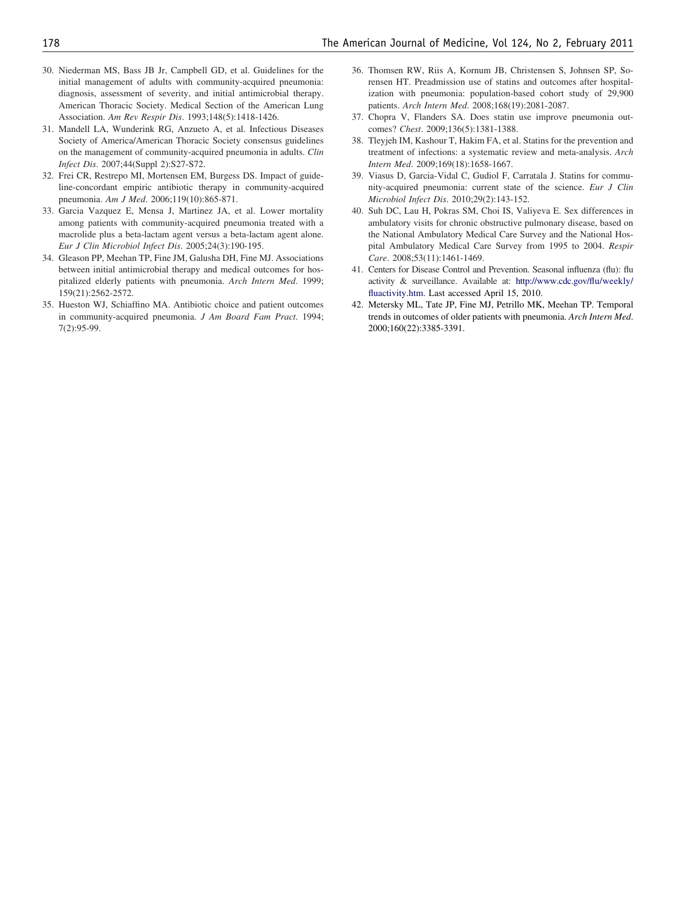- <span id="page-7-0"></span>30. Niederman MS, Bass JB Jr, Campbell GD, et al. Guidelines for the initial management of adults with community-acquired pneumonia: diagnosis, assessment of severity, and initial antimicrobial therapy. American Thoracic Society. Medical Section of the American Lung Association. *Am Rev Respir Dis*. 1993;148(5):1418-1426.
- 31. Mandell LA, Wunderink RG, Anzueto A, et al. Infectious Diseases Society of America/American Thoracic Society consensus guidelines on the management of community-acquired pneumonia in adults. *Clin Infect Dis*. 2007;44(Suppl 2):S27-S72.
- 32. Frei CR, Restrepo MI, Mortensen EM, Burgess DS. Impact of guideline-concordant empiric antibiotic therapy in community-acquired pneumonia. *Am J Med*. 2006;119(10):865-871.
- 33. Garcia Vazquez E, Mensa J, Martinez JA, et al. Lower mortality among patients with community-acquired pneumonia treated with a macrolide plus a beta-lactam agent versus a beta-lactam agent alone. *Eur J Clin Microbiol Infect Dis*. 2005;24(3):190-195.
- 34. Gleason PP, Meehan TP, Fine JM, Galusha DH, Fine MJ. Associations between initial antimicrobial therapy and medical outcomes for hospitalized elderly patients with pneumonia. *Arch Intern Med*. 1999; 159(21):2562-2572.
- 35. Hueston WJ, Schiaffino MA. Antibiotic choice and patient outcomes in community-acquired pneumonia. *J Am Board Fam Pract*. 1994; 7(2):95-99.
- 36. Thomsen RW, Riis A, Kornum JB, Christensen S, Johnsen SP, Sorensen HT. Preadmission use of statins and outcomes after hospitalization with pneumonia: population-based cohort study of 29,900 patients. *Arch Intern Med*. 2008;168(19):2081-2087.
- 37. Chopra V, Flanders SA. Does statin use improve pneumonia outcomes? *Chest*. 2009;136(5):1381-1388.
- 38. Tleyjeh IM, Kashour T, Hakim FA, et al. Statins for the prevention and treatment of infections: a systematic review and meta-analysis. *Arch Intern Med*. 2009;169(18):1658-1667.
- 39. Viasus D, Garcia-Vidal C, Gudiol F, Carratala J. Statins for community-acquired pneumonia: current state of the science. *Eur J Clin Microbiol Infect Dis*. 2010;29(2):143-152.
- 40. Suh DC, Lau H, Pokras SM, Choi IS, Valiyeva E. Sex differences in ambulatory visits for chronic obstructive pulmonary disease, based on the National Ambulatory Medical Care Survey and the National Hospital Ambulatory Medical Care Survey from 1995 to 2004. *Respir Care*. 2008;53(11):1461-1469.
- 41. Centers for Disease Control and Prevention. Seasonal influenza (flu): flu activity & surveillance. Available at: [http://www.cdc.gov/flu/weekly/](http://www.cdc.gov/flu/weekly/fluactivity.htm) [fluactivity.htm.](http://www.cdc.gov/flu/weekly/fluactivity.htm) Last accessed April 15, 2010.
- 42. Metersky ML, Tate JP, Fine MJ, Petrillo MK, Meehan TP. Temporal trends in outcomes of older patients with pneumonia. *Arch Intern Med*. 2000;160(22):3385-3391.